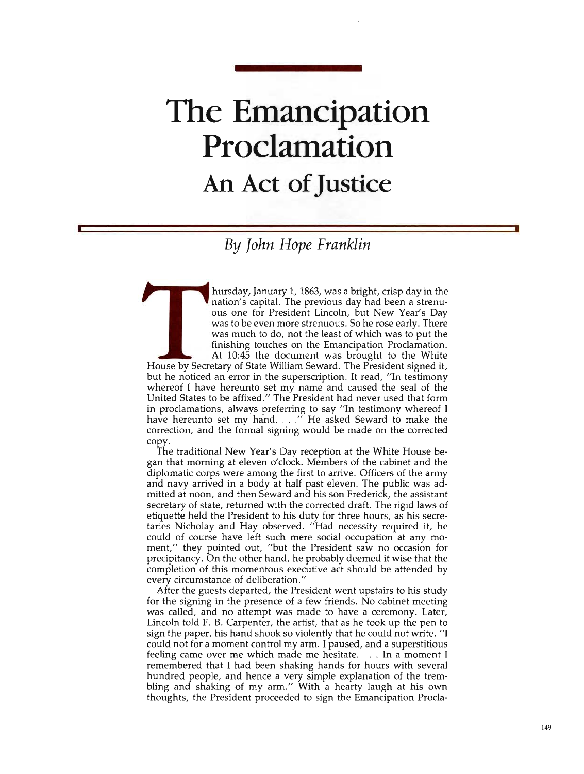## An Act of Justice **The Emancipation Proclamation Proclamation**

## ByBy *John John Hope Hope Franklin Franklin*

**I** 

**I** 

hursday, January 1, 1863, was a bright, crisp day in the nation's capital. The previous day had been a strenuous one for President Lincoln, but New Year's Day was to be even more strenuous. So he rose early. There was much to do, not the least of which was to put the finishing touches on the Emancipation Proclamation. At  $10:45$  the document was brought to the White House by Secretary of State William Seward. The President signed it, but he noticed an error in the superscription. It read, "In testimony whereof I have hereunto set my name and caused the seal of the United States to be affixed." The President had never used that form in proclamations, always preferring to say "In testimony whereof I In proclamations, always preferring to say the estimony whereor it<br>have hereunto set my hand....'' He asked Seward to make the correction, and the formal signing would be made on the corrected copy. copy.

The traditional New Year's Day reception at the White House began that morning at eleven o'clock. Members of the cabinet and the diplomatic corps were among the first to arrive. Officers of the army and navy arrived in a body at half past eleven. The public was admitted at noon, and then Seward and his son Frederick, the assistant secretary of state, returned with the corrected draft. The rigid laws of etiquette held the President to his duty for three hours, as his secretaries Nicholay and Hay observed. "Had necessity required it, he could of course have left such mere social occupation at any moment," they pointed out, "but the President saw no occasion for precipitancy. On the other hand, he probably deemed it wise that the completion of this momentous executive act should be attended by every circumstance of deliberation."

After the guests departed, the President went upstairs to his study for the signing in the presence of a few friends. No cabinet meeting was called, and no attempt was made to have a ceremony. Later, Lincoln told F. B. Carpenter, the artist, that as he took up the pen to sign the paper, his hand shook so violently that he could not write. "I could not for a moment control my arm. I paused, and a superstitious could not for a moment control my arm. I paused, and a superstitious<br>feeling came over me which made me hesitate.... In a moment I remembered that I had been shaking hands for hours with several hundred people, and hence a very simple explanation of the trembling and shaking of my arm." With a hearty laugh at his own thoughts, the President proceeded to sign the Emancipation Procla**I**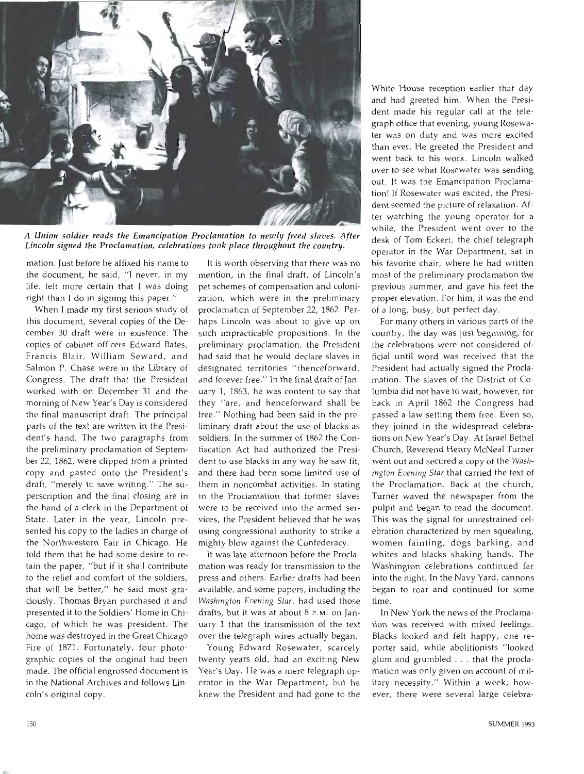

A Union soldier reads the Emancipation Proclamation to newly freed slaves. After Lincoln signed the Proclamation, celebrations took place throughout the country.

mation. Just before he affixed his name to the document, he said, "I never, in my life, felt more certain that I was doing right than I do in signing this paper."

When I made my first serious study of this document, several copies of the December 30 draft were in existence. The copies of cabinet officers Edward Bates, Francis Blair, William Seward, and Salmon P. Chase were in the Library of Congress. The draft that the President worked with on December 31 and the morning of New Year's Day is considered the final manuscript draft. The principal parts of the text are written in the President's hand. The two paragraphs from the preliminary proclamation of September 22, 1862, were clipped from a printed copy and pasted onto the President's draft, "merely to save writing." The superscription and the final closing are in the hand of a clerk in the Department of State. Later in the year, Lincoln presented his copy to the ladies in charge of the Northwestern Fair in Chicago. He told them that he had some desire to retain the paper, "but if it shall contribute to the relief and comfort of the soldiers, that will be better," he said most graciously. Thomas Bryan purchased it and presented it to the Soldiers' Home in Chicago, of which he was president. The home was destroyed in the Great Chicago Fire of 1871. Fortunately, four photographic copies of the original had been made. The official engrossed document is in the National Archives and follows Lincoln's original copy.

It is worth observing that there was no mention, in the final draft, of Lincoln's pet schemes of compensation and colonization, which were in the preliminary proclamation of September 22, 1862. Perhaps Lincoln was about to give up on such impracticable propositions. In the preliminary proclamation, the President had said that he would declare slaves in designated territories "thenceforward, and forever free." In the final draft of January  $1$ ,  $1863$ , he was content to say that they "are, and henceforward shall be free." Nothing had been said in the preliminary draft about the use of blacks as soldiers. In the summer of 1862 the Confiscation Act had authorized the President to use blacks in any way he saw fit, and there had been some limited use of them in noncombat activities. In stating in the Proclamation that former slaves were to be received into the armed services, the President believed that he was using congressional authority to strike a mighty blow against the Confederacy.

It was late afternoon before the Proclamation was ready for transmission to the press and others. Earlier drafts had been available, and some papers, including the *Washington Evening Star, had used those* drafts, but it was at about 8 p.m. on January 1 that the transmission of the text over the telegraph wires actually began.

Young Edward Rosewater, scarcely twenty years old, had an exciting New Year's Day. He was a mere telegraph operator in the War Department, but he knew the President and had gone to the White House reception earlier that day and had greeted him. When the President made his regular call at the telegraph office that evening, young Rosewater was on duty and was more excited than ever. He greeted the President and went back to his work. Lincoln walked over to see what Rosewater was sending out. It was the Emancipation Proclamation! If Rosewater was excited, the President seemed the picture of relaxation. After watching the young operator for a while, the President went over to the desk of Tom Eckert, the chief telegraph operator in the War Department, sat in his favorite chair, where he had written most of the preliminary proclamation the previous summer, and gave his feet the proper elevation. For him, it was the end of a long, busy, but perfect day.

For many others in various parts of the country, the day was just beginning, for the celebrations were not considered official until word was received that the President had actually signed the Proclamation. The slaves of the District of Columbia did not have to wait, however, for back in April 1862 the Congress had passed a law setting them free. Even so, they joined in the widespread celebrations on New Year's Day. At Israel Bethel Church, Reverend Henry McNeal Turner ington Evening Star that carried the text of went out and secured a copy of the W*ash*the Proclamation. Back at the church, Turner waved the newspaper from the pulpit and began to read the document. This was the signal for unrestrained celebration characterized by men squealing, women fainting, dogs barking, and whites and blacks shaking hands. The Washington celebrations continued far into the night. In the Navy Yard, cannons began to roar and continued for some time.

In New York the news of the Proclamation was received with mixed feelings. Blacks looked and felt happy, one reporter said, while abolitionists "looked .<br>glum and grumbled . . . that the proclamation was only given on account of military necessity.'' Within a week, however, there were several large celebra-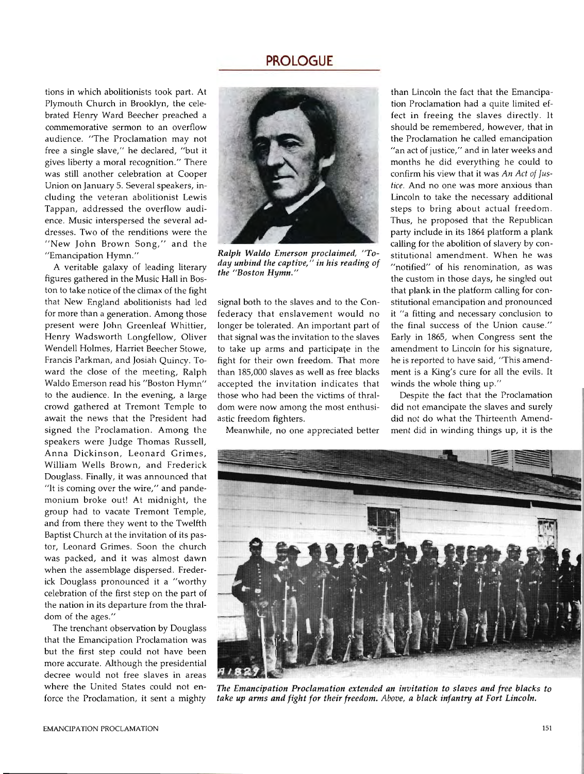## **PROLOGUE PROLOGUE**

tions in which abolitionists took part. At Plymouth Church in Brooklyn, the celebrated Henry Ward Beecher preached a commemorative sermon to an overflow audience. "The Proclamation may not free a single slave," he declared, "but it gives liberty a moral recognition." There was still another celebration at Cooper Union on January 5. Several speakers, including the veteran abolitionist Lewis Tappan, addressed the overflow audience. Music interspersed the several addresses. Two of the renditions were the "New John Brown Song," and the "Emancipation Hymn."

A veritable galaxy of leading literary figures gathered in the Music Hall in Boston to take notice of the climax of the fight that New England abolitionists had led for more than a generation. Among those present were John Greenleaf Whittier, Henry Wadsworth Longfellow, Oliver Wendell Holmes, Harriet Beecher Stowe, Francis Parkman, and Josiah Quincy. Toward the close of the meeting, Ralph Waldo Emerson read his "Boston Hymn" to the audience. In the evening, a large crowd gathered at Tremont Temple to await the news that the President had signed the Proclamation. Among the speakers were Judge Thomas Russell, Anna Dickinson, Leonard Grimes, William Wells Brown, and Frederick Douglass. Finally, it was announced that "It is coming over the wire," and pandemonium broke out! At midnight, the group had to vacate Tremont Temple, and from there they went to the Twelfth Baptist Church at the invitation of its pastor, Leonard Grimes. Soon the church was packed, and it was almost dawn when the assemblage dispersed. Frederick Douglass pronounced it a "worthy celebration of the first step on the part of the nation in its departure from the thraldom of the ages."

The trenchant observation by Douglass that the Emancipation Proclamation was but the first step could not have been more accurate. Although the presidential decree would not free slaves in areas



*Ralph Ralph Waldo Waldo Emerson Emerson proclaimed, proclaimed, "To "Today day unbind unbind the the captive," captive," in in his his reading reading of of*  $the$  "Boston Hymn."

signal both to the slaves and to the Confederacy that enslavement would no longer be tolerated. An important part of that signal was the invitation to the slaves to take up arms and participate in the fight for their own freedom. That more than 185,000 slaves as well as free blacks accepted the invitation indicates that those who had been the victims of thraldom were now among the most enthusiastic freedom fighters.

Meanwhile, no one appreciated better

than Lincoln the fact that the Emancipation Proclamation had a quite limited effect in freeing the slaves directly. It should be remembered, however, that in the Proclamation he called emancipation "an act of justice," and in later weeks and months he did everything he could to confirm his view that it was *An Act of Justice*. And no one was more anxious than Lincoln to take the necessary additional steps to bring about actual freedom. Thus, he proposed that the Republican party include in its 1864 platform a plank calling for the abolition of slavery by constitutional amendment. When he was "notified" of his renomination, as was the custom in those days, he singled out that plank in the platform calling for constitutional emancipation and pronounced it "a fitting and necessary conclusion to the final success of the Union cause." Early in 1865, when Congress sent the amendment to Lincoln for his signature, he is reported to have said, "This amendment is a King's cure for all the evils. It winds the whole thing up."

Despite the fact that the Proclamation did not emancipate the slaves and surely did not do what the Thirteenth Amendment did in winding things up, it is the



where the United States could not en-<br>force the Proclamation, it sent a mighty take up arms and fight for their freedom. Above, a black infantry at Fort Lincoln. take up arms and fight for their freedom. Above, a black infantry at Fort Lincoln.